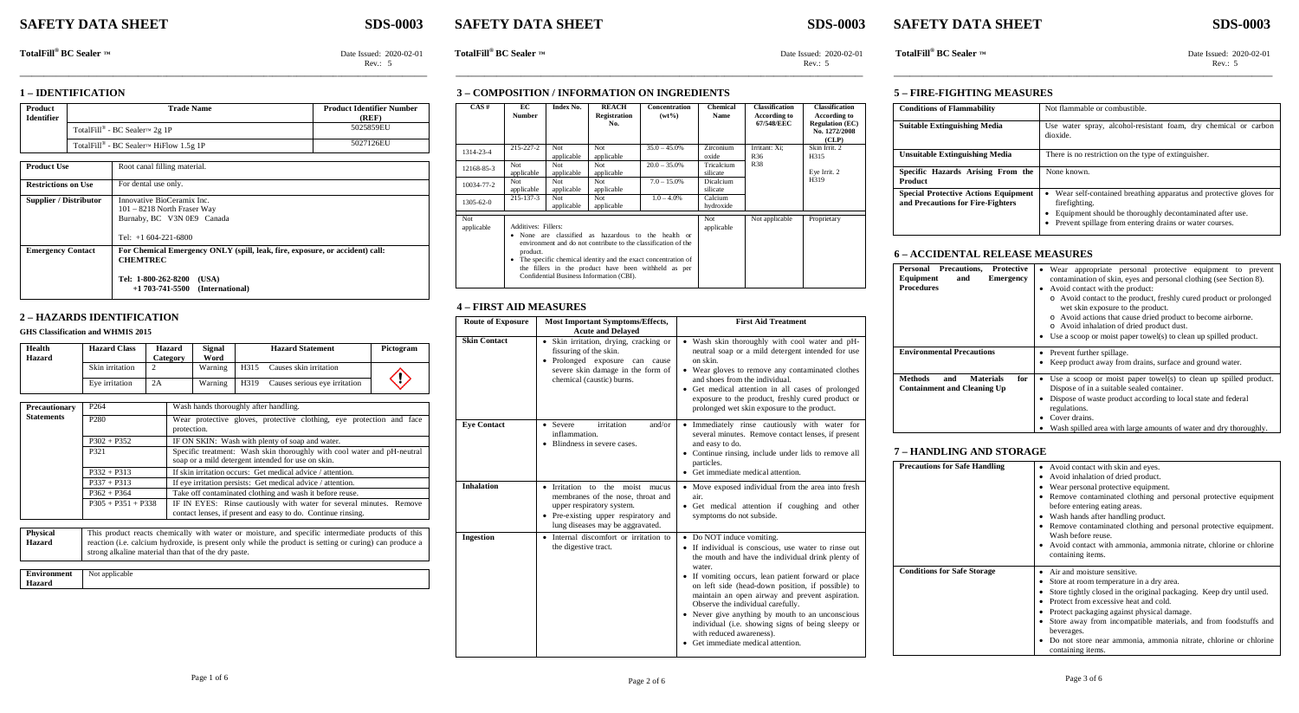# **SAFETY DATA SHEET SDS-0003 SAFETY DATA SHEET SDS-0003 SAFETY DATA SHEET SDS-0003**

**Rev.: 5** Rev.: 5 Rev.: 5

**TotalFill**<sup>®</sup> **BC Sealer ™** Date Issued: 2020-02-01 **TotalFill**<sup>®</sup> **BC Sealer ™** Date Issued: 2020-02-01 **TotalFill**<sup>®</sup> **BC Sealer ™** Date Issued: 2020-02-01 **TotalFill**<sup>®</sup> **BC Sealer ™** Date Issued: 2020-02-01

### **1 – IDENTIFICATION**

| Product<br><b>Identifier</b> | <b>Trade Name</b>                      | <b>Product Identifier Number</b><br>(REF) |
|------------------------------|----------------------------------------|-------------------------------------------|
|                              | TotalFill® - BC Sealer™ 2g 1P          | 5025859EU                                 |
|                              | TotalFill® - BC Sealer™ HiFlow 1.5g 1P | 5027126EU                                 |

| <b>Product Use</b>         | Root canal filling material.                                                                                                                                              |  |  |  |  |  |
|----------------------------|---------------------------------------------------------------------------------------------------------------------------------------------------------------------------|--|--|--|--|--|
| <b>Restrictions on Use</b> | For dental use only.                                                                                                                                                      |  |  |  |  |  |
| Supplier / Distributor     | Innovative BioCeramix Inc.<br>$101 - 8218$ North Fraser Way<br>Burnaby, BC V3N 0E9 Canada                                                                                 |  |  |  |  |  |
|                            | Tel: $+1$ 604-221-6800                                                                                                                                                    |  |  |  |  |  |
| <b>Emergency Contact</b>   | For Chemical Emergency ONLY (spill, leak, fire, exposure, or accident) call:<br><b>CHEMTREC</b><br>Tel: 1-800-262-8200<br>(USA)<br>$+1\,703$ -741-5500<br>(International) |  |  |  |  |  |

### **2 – HAZARDS IDENTIFICATION**

### **GHS Classification and WHMIS 2015**

| Health<br>Hazard | <b>Hazard Class</b> | Hazard<br>Category | Signal<br>Word |      | <b>Hazard Statement</b>       | Pictogram |
|------------------|---------------------|--------------------|----------------|------|-------------------------------|-----------|
|                  | Skin irritation     |                    | Warning        | H315 | Causes skin irritation        |           |
|                  | Eve irritation      | 2A                 | Warning        | H319 | Causes serious eye irritation |           |

| Precautionary                    | P <sub>264</sub>     | Wash hands thoroughly after handling.                                                                                                                                                                                                                                        |  |  |  |
|----------------------------------|----------------------|------------------------------------------------------------------------------------------------------------------------------------------------------------------------------------------------------------------------------------------------------------------------------|--|--|--|
| <b>Statements</b>                | P <sub>280</sub>     | Wear protective gloves, protective clothing, eye protection and face<br>protection.                                                                                                                                                                                          |  |  |  |
|                                  | $P302 + P352$        | IF ON SKIN: Wash with plenty of soap and water.                                                                                                                                                                                                                              |  |  |  |
| P321                             |                      | Specific treatment: Wash skin thoroughly with cool water and pH-neutral<br>soap or a mild detergent intended for use on skin.                                                                                                                                                |  |  |  |
|                                  | $P332 + P313$        | If skin irritation occurs: Get medical advice / attention.                                                                                                                                                                                                                   |  |  |  |
|                                  | $P337 + P313$        | If eye irritation persists: Get medical advice / attention.                                                                                                                                                                                                                  |  |  |  |
|                                  | $P362 + P364$        | Take off contaminated clothing and wash it before reuse.                                                                                                                                                                                                                     |  |  |  |
|                                  | $P305 + P351 + P338$ | IF IN EYES: Rinse cautiously with water for several minutes. Remove<br>contact lenses, if present and easy to do. Continue rinsing.                                                                                                                                          |  |  |  |
|                                  |                      |                                                                                                                                                                                                                                                                              |  |  |  |
| <b>Physical</b><br><b>Hazard</b> |                      | This product reacts chemically with water or moisture, and specific intermediate products of this<br>reaction ( <i>i.e.</i> calcium hydroxide, is present only while the product is setting or curing) can produce a<br>strong alkaline material than that of the dry paste. |  |  |  |

### **Environment Hazard** Not applicable

### **3 – COMPOSITION / INFORMATION ON INGREDIENTS**

| CAS#              | EС<br><b>Number</b>                                                                                                                                                                                                                                                                                                              | <b>Index No.</b>  | <b>REACH</b><br><b>Registration</b><br>No. | Concentration<br>$(wt\%)$ | <b>Chemical</b><br><b>Name</b> | <b>Classification</b><br><b>According to</b><br>67/548/EEC | <b>Classification</b><br>According to<br><b>Regulation (EC)</b><br>No. 1272/2008<br>(CLP) |
|-------------------|----------------------------------------------------------------------------------------------------------------------------------------------------------------------------------------------------------------------------------------------------------------------------------------------------------------------------------|-------------------|--------------------------------------------|---------------------------|--------------------------------|------------------------------------------------------------|-------------------------------------------------------------------------------------------|
| 1314-23-4         | $215 - 227 - 2$                                                                                                                                                                                                                                                                                                                  | Not<br>applicable | Not<br>applicable                          | $35.0 - 45.0\%$           | Zirconium<br>oxide             | Irritant: Xi:<br>R <sub>36</sub>                           | Skin Irrit. 2<br>H315                                                                     |
| 12168-85-3        | Not<br>applicable                                                                                                                                                                                                                                                                                                                | Not<br>applicable | Not<br>applicable                          | $20.0 - 35.0\%$           | Tricalcium<br>silicate         | <b>R38</b>                                                 | Eye Irrit. 2                                                                              |
| 10034-77-2        | Not<br>applicable                                                                                                                                                                                                                                                                                                                | Not<br>applicable | Not<br>applicable                          | $7.0 - 15.0\%$            | Dicalcium<br>silicate          |                                                            | H319                                                                                      |
| $1305 - 62 - 0$   | $215 - 137 - 3$                                                                                                                                                                                                                                                                                                                  | Not<br>applicable | Not<br>applicable                          | $1.0 - 4.0\%$             | Calcium<br>hydroxide           |                                                            |                                                                                           |
| Not<br>applicable | Additives: Fillers:<br>None are classified as hazardous to the health or<br>environment and do not contribute to the classification of the<br>product.<br>The specific chemical identity and the exact concentration of<br>٠<br>the fillers in the product have been withheld as per<br>Confidential Business Information (CBI). |                   |                                            | Not<br>applicable         | Not applicable                 | Proprietary                                                |                                                                                           |

**\_\_\_\_\_\_\_\_\_\_\_\_\_\_\_\_\_\_\_\_\_\_\_\_\_\_\_\_\_\_\_\_\_\_\_\_\_\_\_\_\_\_\_\_\_\_\_\_\_\_\_\_\_\_\_\_\_\_\_\_\_\_\_\_\_\_\_\_\_\_\_\_\_\_\_\_\_\_\_\_\_\_\_\_\_\_\_\_\_\_\_\_\_\_\_\_\_\_\_\_ \_\_\_\_\_\_\_\_\_\_\_\_\_\_\_\_\_\_\_\_\_\_\_\_\_\_\_\_\_\_\_\_\_\_\_\_\_\_\_\_\_\_\_\_\_\_\_\_\_\_\_\_\_\_\_\_\_\_\_\_\_\_\_\_\_\_\_\_\_\_\_\_\_\_\_\_\_\_\_\_\_\_\_\_\_\_\_\_\_\_\_\_\_\_\_\_\_\_\_\_ \_\_\_\_\_\_\_\_\_\_\_\_\_\_\_\_\_\_\_\_\_\_\_\_\_\_\_\_\_\_\_\_\_\_\_\_\_\_\_\_\_\_\_\_\_\_\_\_\_\_\_\_\_\_\_\_\_\_\_\_\_\_\_\_\_\_\_\_\_\_\_\_\_\_\_\_\_\_\_\_\_\_\_\_\_\_\_\_\_\_\_\_\_**

### **4 – FIRST AID MEASURES**

| <b>Route of Exposure</b> | <b>Most Important Symptoms/Effects,</b><br><b>Acute and Delayed</b>                                                                                                           | <b>First Aid Treatment</b>                                                                                                                                                                                                                                                                                                                                                                                                                                                                                                      |
|--------------------------|-------------------------------------------------------------------------------------------------------------------------------------------------------------------------------|---------------------------------------------------------------------------------------------------------------------------------------------------------------------------------------------------------------------------------------------------------------------------------------------------------------------------------------------------------------------------------------------------------------------------------------------------------------------------------------------------------------------------------|
| <b>Skin Contact</b>      | Skin irritation, drying, cracking or<br>fissuring of the skin.<br>• Prolonged exposure can cause<br>severe skin damage in the form of<br>chemical (caustic) burns.            | Wash skin thoroughly with cool water and pH-<br>neutral soap or a mild detergent intended for use<br>on skin.<br>• Wear gloves to remove any contaminated clothes<br>and shoes from the individual.<br>• Get medical attention in all cases of prolonged<br>exposure to the product, freshly cured product or<br>prolonged wet skin exposure to the product.                                                                                                                                                                    |
| <b>Eve Contact</b>       | irritation<br>and/or<br>• Severe<br>inflammation.<br>• Blindness in severe cases.                                                                                             | Immediately rinse cautiously with water for<br>٠<br>several minutes. Remove contact lenses, if present<br>and easy to do.<br>• Continue rinsing, include under lids to remove all<br>particles.<br>• Get immediate medical attention.                                                                                                                                                                                                                                                                                           |
| <b>Inhalation</b>        | • Irritation to the moist mucus<br>membranes of the nose, throat and<br>upper respiratory system.<br>• Pre-existing upper respiratory and<br>lung diseases may be aggravated. | • Move exposed individual from the area into fresh<br>air.<br>• Get medical attention if coughing and other<br>symptoms do not subside.                                                                                                                                                                                                                                                                                                                                                                                         |
| Ingestion                | • Internal discomfort or irritation to<br>the digestive tract.                                                                                                                | • Do NOT induce vomiting.<br>• If individual is conscious, use water to rinse out<br>the mouth and have the individual drink plenty of<br>water.<br>• If vomiting occurs, lean patient forward or place<br>on left side (head-down position, if possible) to<br>maintain an open airway and prevent aspiration.<br>Observe the individual carefully.<br>• Never give anything by mouth to an unconscious<br>individual (i.e. showing signs of being sleepy or<br>with reduced awareness).<br>• Get immediate medical attention. |

### **5 – FIRE-FIGHTING MEASURES**

| <b>Conditions of Flammability</b>                                                | Not flammable or combustible.                                                                                                                                                                               |
|----------------------------------------------------------------------------------|-------------------------------------------------------------------------------------------------------------------------------------------------------------------------------------------------------------|
| <b>Suitable Extinguishing Media</b>                                              | Use water spray, alcohol-resistant foam, dry chemical or carbon<br>dioxide.                                                                                                                                 |
| <b>Unsuitable Extinguishing Media</b>                                            | There is no restriction on the type of extinguisher.                                                                                                                                                        |
| Specific Hazards Arising From the<br>Product                                     | None known.                                                                                                                                                                                                 |
| <b>Special Protective Actions Equipment</b><br>and Precautions for Fire-Fighters | • Wear self-contained breathing apparatus and protective gloves for<br>firefighting.<br>Equipment should be thoroughly decontaminated after use.<br>Prevent spillage from entering drains or water courses. |

### **6 – ACCIDENTAL RELEASE MEASURES**

| Personal Precautions,<br><b>Protective</b><br>Equipment<br>and<br><b>Emergency</b><br><b>Procedures</b> | Wear appropriate personal protective equipment to prevent<br>contamination of skin, eyes and personal clothing (see Section 8).<br>Avoid contact with the product:<br>o Avoid contact to the product, freshly cured product or prolonged<br>wet skin exposure to the product.<br>o Avoid actions that cause dried product to become airborne.<br>o Avoid inhalation of dried product dust.<br>• Use a scoop or moist paper towel(s) to clean up spilled product. |
|---------------------------------------------------------------------------------------------------------|------------------------------------------------------------------------------------------------------------------------------------------------------------------------------------------------------------------------------------------------------------------------------------------------------------------------------------------------------------------------------------------------------------------------------------------------------------------|
| <b>Environmental Precautions</b>                                                                        | Prevent further spillage.<br>Keep product away from drains, surface and ground water.                                                                                                                                                                                                                                                                                                                                                                            |
| Methods<br><b>Materials</b><br>for<br>and<br><b>Containment and Cleaning Up</b>                         | Use a scoop or moist paper towel(s) to clean up spilled product.<br>Dispose of in a suitable sealed container.<br>Dispose of waste product according to local state and federal<br>regulations.<br>Cover drains.<br>Wash spilled area with large amounts of water and dry thoroughly.                                                                                                                                                                            |

### **7 – HANDLING AND STORAGE**

| <b>Precautions for Safe Handling</b> | Avoid contact with skin and eyes.<br>٠<br>Avoid inhalation of dried product.<br>٠<br>Wear personal protective equipment.<br>Remove contaminated clothing and personal protective equipment<br>before entering eating areas.<br>Wash hands after handling product.<br>Remove contaminated clothing and personal protective equipment.<br>٠<br>Wash before reuse.<br>• Avoid contact with ammonia, ammonia nitrate, chlorine or chlorine<br>containing items. |
|--------------------------------------|-------------------------------------------------------------------------------------------------------------------------------------------------------------------------------------------------------------------------------------------------------------------------------------------------------------------------------------------------------------------------------------------------------------------------------------------------------------|
| <b>Conditions for Safe Storage</b>   | Air and moisture sensitive.<br>٠<br>Store at room temperature in a dry area.<br>٠<br>Store tightly closed in the original packaging. Keep dry until used.<br>Protect from excessive heat and cold.<br>Protect packaging against physical damage.<br>Store away from incompatible materials, and from foodstuffs and<br>beverages.<br>Do not store near ammonia, ammonia nitrate, chlorine or chlorine<br>containing items.                                  |